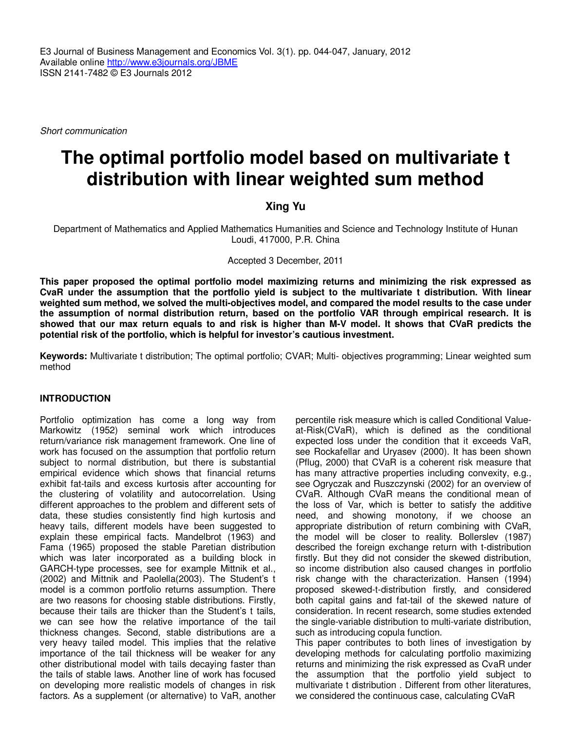Short communication

# **The optimal portfolio model based on multivariate t distribution with linear weighted sum method**

## **Xing Yu**

Department of Mathematics and Applied Mathematics Humanities and Science and Technology Institute of Hunan Loudi, 417000, P.R. China

Accepted 3 December, 2011

**This paper proposed the optimal portfolio model maximizing returns and minimizing the risk expressed as CvaR under the assumption that the portfolio yield is subject to the multivariate t distribution. With linear weighted sum method, we solved the multi-objectives model, and compared the model results to the case under the assumption of normal distribution return, based on the portfolio VAR through empirical research. It is showed that our max return equals to and risk is higher than M-V model. It shows that CVaR predicts the potential risk of the portfolio, which is helpful for investor's cautious investment.** 

**Keywords:** Multivariate t distribution; The optimal portfolio; CVAR; Multi- objectives programming; Linear weighted sum method

## **INTRODUCTION**

Portfolio optimization has come a long way from Markowitz (1952) seminal work which introduces return/variance risk management framework. One line of work has focused on the assumption that portfolio return subject to normal distribution, but there is substantial empirical evidence which shows that financial returns exhibit fat-tails and excess kurtosis after accounting for the clustering of volatility and autocorrelation. Using different approaches to the problem and different sets of data, these studies consistently find high kurtosis and heavy tails, different models have been suggested to explain these empirical facts. Mandelbrot (1963) and Fama (1965) proposed the stable Paretian distribution which was later incorporated as a building block in GARCH-type processes, see for example Mittnik et al., (2002) and Mittnik and Paolella(2003). The Student's t model is a common portfolio returns assumption. There are two reasons for choosing stable distributions. Firstly, because their tails are thicker than the Student's t tails, we can see how the relative importance of the tail thickness changes. Second, stable distributions are a very heavy tailed model. This implies that the relative importance of the tail thickness will be weaker for any other distributional model with tails decaying faster than the tails of stable laws. Another line of work has focused on developing more realistic models of changes in risk factors. As a supplement (or alternative) to VaR, another

percentile risk measure which is called Conditional Valueat-Risk(CVaR), which is defined as the conditional expected loss under the condition that it exceeds VaR, see Rockafellar and Uryasev (2000). It has been shown (Pflug, 2000) that CVaR is a coherent risk measure that has many attractive properties including convexity, e.g., see Ogryczak and Ruszczynski (2002) for an overview of CVaR. Although CVaR means the conditional mean of the loss of Var, which is better to satisfy the additive need, and showing monotony, if we choose an appropriate distribution of return combining with CVaR, the model will be closer to reality. Bollerslev (1987) described the foreign exchange return with t-distribution firstly. But they did not consider the skewed distribution, so income distribution also caused changes in portfolio risk change with the characterization. Hansen (1994) proposed skewed-t-distribution firstly, and considered both capital gains and fat-tail of the skewed nature of consideration. In recent research, some studies extended the single-variable distribution to multi-variate distribution, such as introducing copula function.

This paper contributes to both lines of investigation by developing methods for calculating portfolio maximizing returns and minimizing the risk expressed as CvaR under the assumption that the portfolio yield subject to multivariate t distribution . Different from other literatures, we considered the continuous case, calculating CVaR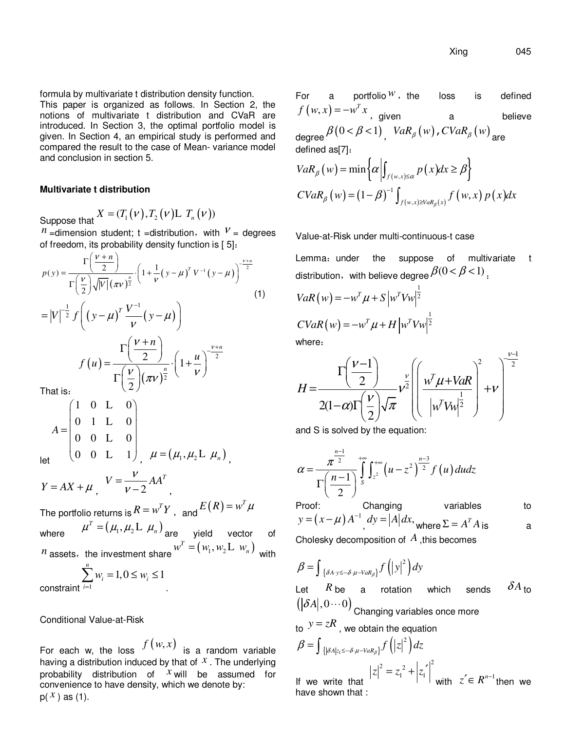formula by multivariate t distribution density function.

This paper is organized as follows. In Section 2, the notions of multivariate t distribution and CVaR are introduced. In Section 3, the optimal portfolio model is given. In Section 4, an empirical study is performed and compared the result to the case of Mean- variance model and conclusion in section 5.

#### **Multivariate t distribution**

Suppose that  $X = (T_1(\nu), T_2(\nu)$ L  $T_n(\nu)$ )

*n* = dimension student; t = distribution, with  $V =$  degrees of freedom, its probability density function is [ 5]:

$$
p(y) = \frac{\Gamma\left(\frac{V+n}{2}\right)}{\Gamma\left(\frac{V}{2}\right)\sqrt{|V|}\left(\pi V\right)^{\frac{n}{2}}} \cdot \left(1 + \frac{1}{V}\left(y-\mu\right)^{T}V^{-1}\left(y-\mu\right)\right)^{\frac{V+n}{2}} \tag{1}
$$
\n
$$
= |V|^{-\frac{1}{2}} f\left(\left(y-\mu\right)^{T} \frac{V^{-1}}{V}\left(y-\mu\right)\right)
$$
\n
$$
f\left(u\right) = \frac{\Gamma\left(\frac{V+n}{2}\right)}{\Gamma\left(\frac{V}{2}\right)\left(\pi V\right)^{\frac{n}{2}}} \cdot \left(1 + \frac{u}{V}\right)^{\frac{V+n}{2}}
$$
\nThat is:\n
$$
\left(1 + \frac{1}{V}\right)^{\frac{V+n}{2}}
$$

$$
A = \begin{pmatrix} 1 & 0 & L & 0 \\ 0 & 1 & L & 0 \\ 0 & 0 & L & 0 \\ 0 & 0 & L & 1 \end{pmatrix}, \quad \mu = (\mu_1, \mu_2 L, \mu_n),
$$

let

 $Y = AX + \mu$ ,  $V = \nu - 2$  $V = \frac{V}{V-2} A A^T$  $-2$ ,

The portfolio returns is  $R = w^T Y$  ,  $\;$  and  $E\big(R\big)$   $=$   $w^T \mu$ where  $\mu^T = (\mu_1, \mu_2)$ L  $\mu_n$  are yield vector of  $n$  assets, the investment share  $w^T = (w_1, w_2 \mathbf{L} \; w_n)$  with

$$
\sum_{i=1}^{n} w_i = 1, 0 \le w_i \le 1
$$

constraint <sup>1</sup>

Conditional Value-at-Risk

For each w, the loss  $f(w, x)$  is a random variable having a distribution induced by that of *x* . The underlying probability distribution of *x* will be assumed for convenience to have density, which we denote by:  $p(\chi)$  as (1).

For a portfolio<sup> $W$ </sup>, the loss is defined  $f(w, x) = -w^T x$ , given a believe degree  $\beta(0 < \beta < 1)$ ,  $VaR_{\beta}(w)$ ,  $CVaR_{\beta}(w)$ <sub>are</sub> defined as[7]:  $VaR_{\beta}( w ) = \min \left\{ \alpha \left| \int_{f(w, x) \leq \alpha} p(x) dx \geq \beta \right. \right\}$  $(w) = (1 - \beta)^{-1} \int_{f(w,x) \geq VaR_{\beta}(x)} f(w,x) p(x)$ 1  $CVaR_{\beta}(w) = (1 - \beta)^{-1} \int_{f(w,x) \geq VaR_{\beta}(x)} f(w,x) p(x) dx$  $=(1-\beta)^{-1}\int_{f(w,x)\geq 0}$ 

Value-at-Risk under multi-continuous-t case

Lemma: under the suppose of multivariate t distribution, with believe degree  $\beta(0 \leq \beta \leq 1)$ .

$$
VaR(w) = -w^{T}\mu + S\left|w^{T}Vw\right|^{\frac{1}{2}}
$$

$$
CVaR(w) = -w^{T}\mu + H\left|w^{T}Vw\right|^{\frac{1}{2}}
$$

where:

$$
H = \frac{\Gamma\left(\frac{V-1}{2}\right)}{2(1-\alpha)\Gamma\left(\frac{V}{2}\right)\sqrt{\pi}}\nu^{\frac{V}{2}}\left(\frac{w^T\mu + VaR}{|w^T W|^{\frac{1}{2}}}\right)^2 + \nu\right)^{\frac{V-1}{2}}
$$

and S is solved by the equation:

$$
\alpha = \frac{\pi^{\frac{n-1}{2}}}{\Gamma\left(\frac{n-1}{2}\right)} \int_{s}^{+\infty} \int_{z^2}^{+\infty} \left(u - z^2\right)^{\frac{n-3}{2}} f\left(u\right) du dz
$$
  
Proof: Changing variables to

 $y = (x - \mu) A^{-1}$ ,  $dy = |A| dx$ , where  $\Sigma = A^{T} A$  is a

Cholesky decomposition of *A* ,this becomes

$$
\beta = \int_{\{\delta A \cdot y \le -\delta \cdot \mu - \text{VaR}_{\beta}\}} f(|y|^2) dy
$$

Let  $R$  be a rotation which sends  $\delta A$  to  $\left( |\mathcal{\delta} A|, 0 \cdots 0 \right)$  Changing variables once more

to 
$$
y = zR
$$
, we obtain the equation  
\n
$$
\beta = \int_{\{\left|\delta A\right|z_1 \le -\delta \cdot \mu - \text{Var}_\beta\}} f\left(\left|z\right|^2\right) dz
$$
\nIf we write that  $|z|^2 = z_1^2 + \left|z_1\right|^2$  with  $z \in R^{n-1}$  then we have shown that :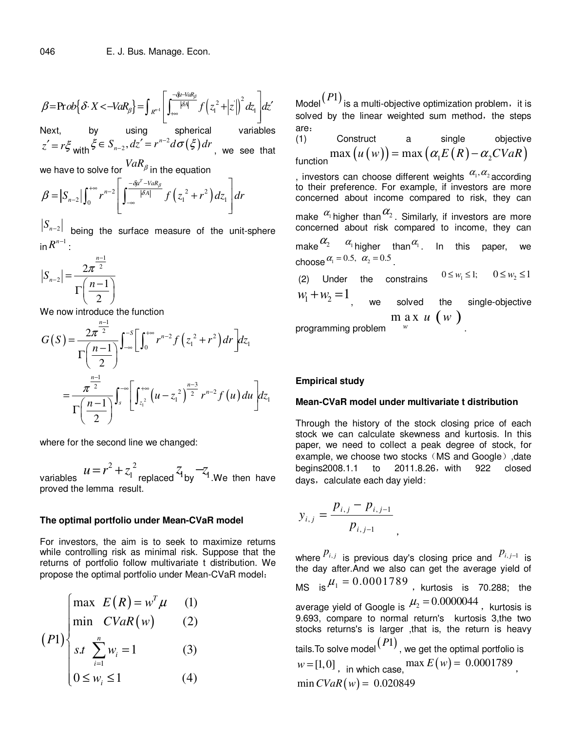$$
\beta = \Pr{ob} \Big\{ \delta \cdot X < -VaR_\beta \Big\} = \int_{R^{n-1}} \left[ \int_{+\infty}^{-\delta t - VaR_\beta} f\left(z_1^2 + |z|\right)^2 dz_1 \right] dz'
$$

Next, by using spherical variables  $z' = r \xi$  with  $\zeta \in S_{n-2}$ ,  $dz' = r^{n-2} d\sigma(\xi)$  $_2, dz' = r^n$  $\xi \in S_{n-2}$ ,  $dz' = r^{n-2} d\sigma(\xi) dr$ , we see that

we have to solve for  $\mathit{VaR}_\beta$  in the equation

$$
\beta = |S_{n-2}| \int_0^{+\infty} r^{n-2} \left[ \int_{-\infty}^{-\frac{\partial u^T - VaR_\beta}{|\partial A|}} f\left(z_1^2 + r^2\right) dz_1 \right] dr
$$

 $\left. S_{n-2} \right|$  being the surface measure of the unit-sphere  $\ln R^{n-1}$  :

$$
|S_{n-2}| = \frac{2\pi^{\frac{n-1}{2}}}{\Gamma(\frac{n-1}{2})}
$$

We now introduce the function

$$
G(S) = \frac{2\pi^{\frac{n-1}{2}}}{\Gamma(\frac{n-1}{2})} \int_{-\infty}^{-S} \left[ \int_0^{+\infty} r^{n-2} f(z_1^2 + r^2) dr \right] dz_1
$$
  
= 
$$
\frac{\pi^{\frac{n-1}{2}}}{\Gamma(\frac{n-1}{2})} \int_s^{-\infty} \left[ \int_{z_1^2}^{+\infty} (u - z_1^2)^{\frac{n-3}{2}} r^{n-2} f(u) du \right] dz_1
$$

where for the second line we changed:

variables  $2^{2}$   $2^{2}$  $u = r^2 + z_1^2$  replaced  $z_1$  by  $-z_1$  .We then have proved the lemma result.

#### **The optimal portfolio under Mean-CVaR model**

For investors, the aim is to seek to maximize returns while controlling risk as minimal risk. Suppose that the returns of portfolio follow multivariate t distribution. We propose the optimal portfolio under Mean-CVaR model:

$$
(P1) \begin{cases} \max \ E(R) = w^T \mu & (1) \\ \min \ CVaR(w) & (2) \\ s.t \ \sum_{i=1}^n w_i = 1 & (3) \\ 0 \le w_i \le 1 & (4) \end{cases}
$$

Model $\left( \frac{P1}{P1}\right)$  is a multi-objective optimization problem,it is solved by the linear weighted sum method, the steps are:<br> $(1)$ 

(1) Construct a single objective  $f_{\text{function}} \max\big(u\left(w\right)\big)$  =  $\max\big(\alpha_{1} E\left(R\right) - \alpha_{2} CVaR\big)$ 

, investors can choose different weights  $\alpha_{1},\alpha_{2}$  according to their preference. For example, if investors are more concerned about income compared to risk, they can

make  $\alpha_1$ higher than $\alpha_2$ . Similarly, if investors are more concerned about risk compared to income, they can

make $\begin{matrix} \alpha_2 & \alpha_{\text{\tiny{l}}} \end{matrix}$ higher than $\begin{matrix} \alpha_{\text{\tiny{l}}} \end{matrix}$ . In this paper, we choose  $\alpha_1 = 0.5$ ,  $\alpha_2 = 0.5$ .

(2) Under the constrains  $0 \leq w_1 \leq 1$ ;  $0 \leq w_2 \leq 1$  $w_1 + w_2 = 1$ we solved the single-objective programming problem  $\lim_{u \to \infty} x u(w)$ *w* .

## **Empirical study**

#### **Mean-CVaR model under multivariate t distribution**

Through the history of the stock closing price of each stock we can calculate skewness and kurtosis. In this paper, we need to collect a peak degree of stock, for example, we choose two stocks (MS and Google), date begins2008.1.1 to 2011.8.26, with 922 closed days, calculate each day yield:

,

$$
y_{i,j} = \frac{p_{i,j} - p_{i,j-1}}{p_{i,j-1}}
$$

where  $P_{i,j}$  is previous day's closing price and  $P_{i,j-1}$  is the day after.And we also can get the average yield of MS is  $\mu_1 = 0.0001789$ , kurtosis is 70.288; the average yield of Google is  $\mu_2 = 0.0000044$ , kurtosis is 9.693, compare to normal return's kurtosis 3,the two stocks returns's is larger ,that is, the return is heavy tails.To solve model(*P*1) , we get the optimal portfolio is  $w = [1, 0]$ , in which case,  $\max E(w) = 0.0001789$ .  $\min$  *CVaR*(*w*) = 0.020849